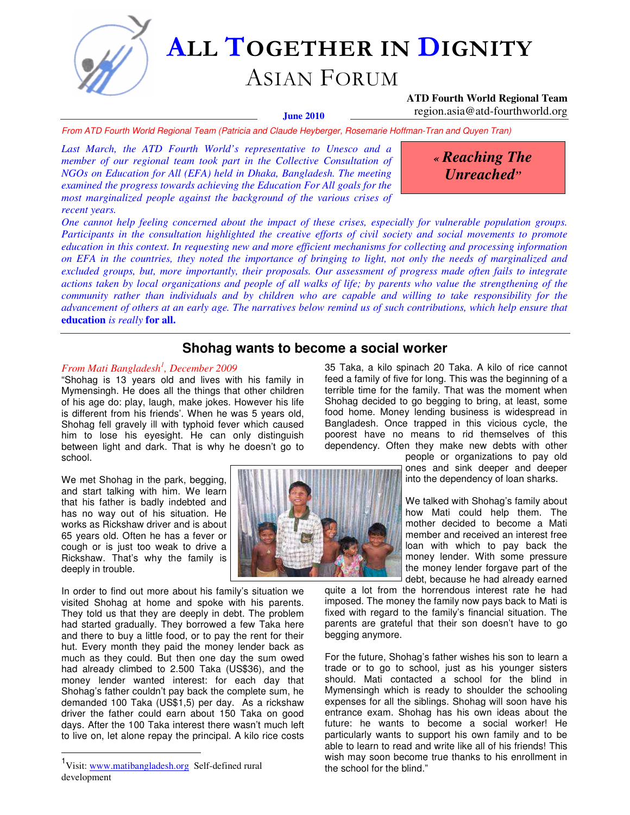

# ALL TOGETHER IN DIGNITY

# ASIAN FORUM

### **ATD Fourth World Regional Team**  region.asia@atd-fourthworld.org

#### **June 2010**

From ATD Fourth World Regional Team (Patricia and Claude Heyberger, Rosemarie Hoffman-Tran and Quyen Tran)

*Last March, the ATD Fourth World's representative to Unesco and a member of our regional team took part in the Collective Consultation of NGOs on Education for All (EFA) held in Dhaka, Bangladesh. The meeting examined the progress towards achieving the Education For All goals for the most marginalized people against the background of the various crises of recent years.* 

*« Reaching The Unreached"* 

*One cannot help feeling concerned about the impact of these crises, especially for vulnerable population groups. Participants in the consultation highlighted the creative efforts of civil society and social movements to promote education in this context. In requesting new and more efficient mechanisms for collecting and processing information on EFA in the countries, they noted the importance of bringing to light, not only the needs of marginalized and excluded groups, but, more importantly, their proposals. Our assessment of progress made often fails to integrate actions taken by local organizations and people of all walks of life; by parents who value the strengthening of the community rather than individuals and by children who are capable and willing to take responsibility for the advancement of others at an early age. The narratives below remind us of such contributions, which help ensure that* **education** *is really* **for all.** 

# **Shohag wants to become a social worker**

### *From Mati Bangladesh<sup>1</sup> , December 2009*

"Shohag is 13 years old and lives with his family in Mymensingh. He does all the things that other children of his age do: play, laugh, make jokes. However his life is different from his friends'. When he was 5 years old, Shohag fell gravely ill with typhoid fever which caused him to lose his eyesight. He can only distinguish between light and dark. That is why he doesn't go to school.

We met Shohag in the park, begging, and start talking with him. We learn that his father is badly indebted and has no way out of his situation. He works as Rickshaw driver and is about 65 years old. Often he has a fever or cough or is just too weak to drive a Rickshaw. That's why the family is deeply in trouble.

In order to find out more about his family's situation we visited Shohag at home and spoke with his parents. They told us that they are deeply in debt. The problem had started gradually. They borrowed a few Taka here and there to buy a little food, or to pay the rent for their hut. Every month they paid the money lender back as much as they could. But then one day the sum owed had already climbed to 2.500 Taka (US\$36), and the money lender wanted interest: for each day that Shohag's father couldn't pay back the complete sum, he demanded 100 Taka (US\$1,5) per day. As a rickshaw driver the father could earn about 150 Taka on good days. After the 100 Taka interest there wasn't much left to live on, let alone repay the principal. A kilo rice costs

 $\overline{a}$ 



35 Taka, a kilo spinach 20 Taka. A kilo of rice cannot feed a family of five for long. This was the beginning of a terrible time for the family. That was the moment when Shohag decided to go begging to bring, at least, some food home. Money lending business is widespread in Bangladesh. Once trapped in this vicious cycle, the poorest have no means to rid themselves of this dependency. Often they make new debts with other

> people or organizations to pay old ones and sink deeper and deeper into the dependency of loan sharks.

We talked with Shohag's family about how Mati could help them. The mother decided to become a Mati member and received an interest free loan with which to pay back the money lender. With some pressure the money lender forgave part of the debt, because he had already earned

quite a lot from the horrendous interest rate he had imposed. The money the family now pays back to Mati is fixed with regard to the family's financial situation. The parents are grateful that their son doesn't have to go begging anymore.

For the future, Shohag's father wishes his son to learn a trade or to go to school, just as his younger sisters should. Mati contacted a school for the blind in Mymensingh which is ready to shoulder the schooling expenses for all the siblings. Shohag will soon have his entrance exam. Shohag has his own ideas about the future: he wants to become a social worker! He particularly wants to support his own family and to be able to learn to read and write like all of his friends! This wish may soon become true thanks to his enrollment in the school for the blind."

<sup>&</sup>lt;sup>1</sup>Visit: www.matibangladesh.org Self-defined rural development